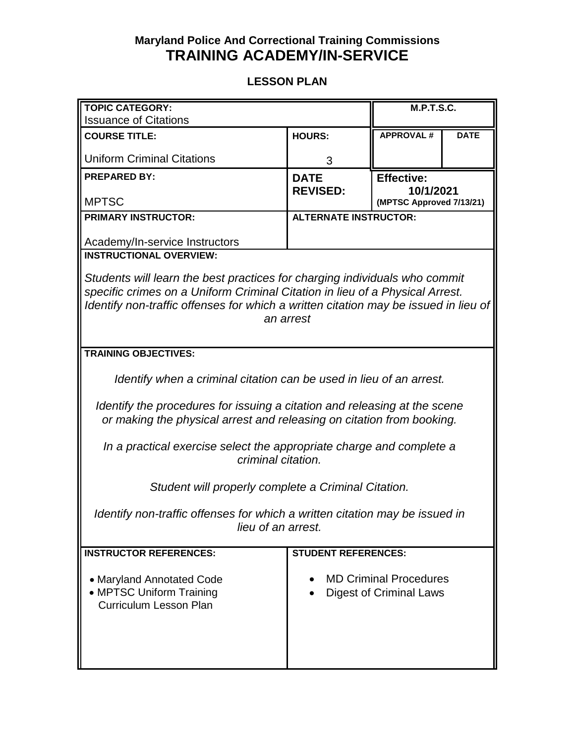## **Maryland Police And Correctional Training Commissions TRAINING ACADEMY/IN-SERVICE**

## **LESSON PLAN**

| <b>TOPIC CATEGORY:</b>                                                              |                              | <b>M.P.T.S.C.</b>              |             |  |
|-------------------------------------------------------------------------------------|------------------------------|--------------------------------|-------------|--|
| <b>Issuance of Citations</b>                                                        |                              |                                |             |  |
| <b>COURSE TITLE:</b>                                                                | <b>HOURS:</b>                | <b>APPROVAL#</b>               | <b>DATE</b> |  |
| <b>Uniform Criminal Citations</b>                                                   | 3                            |                                |             |  |
| <b>PREPARED BY:</b>                                                                 | <b>DATE</b>                  | <b>Effective:</b>              |             |  |
|                                                                                     | <b>REVISED:</b>              | 10/1/2021                      |             |  |
| <b>MPTSC</b>                                                                        |                              | (MPTSC Approved 7/13/21)       |             |  |
| <b>PRIMARY INSTRUCTOR:</b>                                                          | <b>ALTERNATE INSTRUCTOR:</b> |                                |             |  |
| Academy/In-service Instructors                                                      |                              |                                |             |  |
| <b>INSTRUCTIONAL OVERVIEW:</b>                                                      |                              |                                |             |  |
|                                                                                     |                              |                                |             |  |
| Students will learn the best practices for charging individuals who commit          |                              |                                |             |  |
| specific crimes on a Uniform Criminal Citation in lieu of a Physical Arrest.        |                              |                                |             |  |
| Identify non-traffic offenses for which a written citation may be issued in lieu of |                              |                                |             |  |
| an arrest                                                                           |                              |                                |             |  |
|                                                                                     |                              |                                |             |  |
| <b>TRAINING OBJECTIVES:</b>                                                         |                              |                                |             |  |
|                                                                                     |                              |                                |             |  |
| Identify when a criminal citation can be used in lieu of an arrest.                 |                              |                                |             |  |
| Identify the procedures for issuing a citation and releasing at the scene           |                              |                                |             |  |
| or making the physical arrest and releasing on citation from booking.               |                              |                                |             |  |
|                                                                                     |                              |                                |             |  |
| In a practical exercise select the appropriate charge and complete a                |                              |                                |             |  |
| criminal citation.                                                                  |                              |                                |             |  |
|                                                                                     |                              |                                |             |  |
| Student will properly complete a Criminal Citation.                                 |                              |                                |             |  |
|                                                                                     |                              |                                |             |  |
| Identify non-traffic offenses for which a written citation may be issued in         |                              |                                |             |  |
| lieu of an arrest.                                                                  |                              |                                |             |  |
| <b>INSTRUCTOR REFERENCES:</b>                                                       | <b>STUDENT REFERENCES:</b>   |                                |             |  |
|                                                                                     |                              |                                |             |  |
| • Maryland Annotated Code                                                           |                              | <b>MD Criminal Procedures</b>  |             |  |
| • MPTSC Uniform Training                                                            |                              | <b>Digest of Criminal Laws</b> |             |  |
| <b>Curriculum Lesson Plan</b>                                                       |                              |                                |             |  |
|                                                                                     |                              |                                |             |  |
|                                                                                     |                              |                                |             |  |
|                                                                                     |                              |                                |             |  |
|                                                                                     |                              |                                |             |  |
|                                                                                     |                              |                                |             |  |